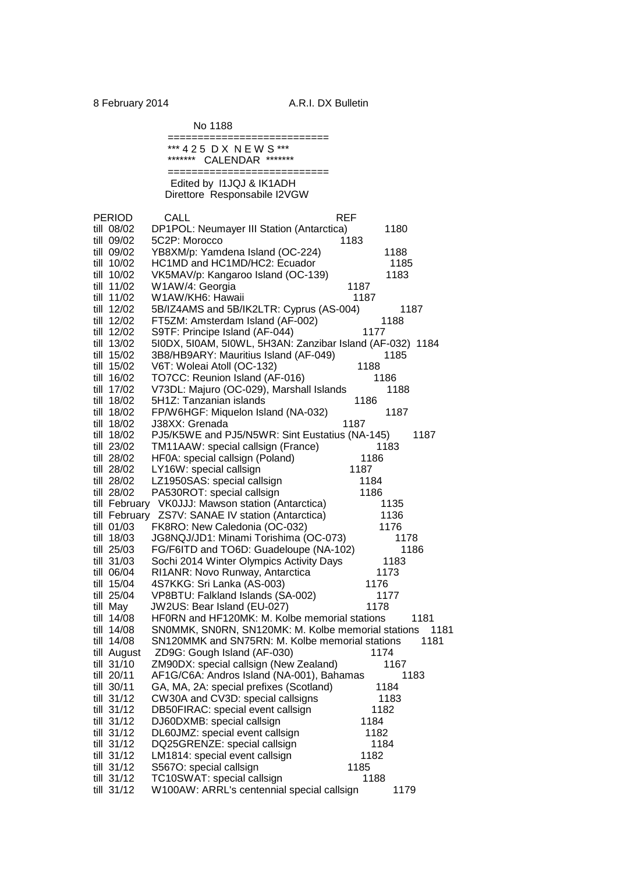No 1188

|               | ============================<br>*** 425 DX NEW S ***       |
|---------------|------------------------------------------------------------|
|               | CALENDAR *******<br>*******                                |
|               |                                                            |
|               | Edited by 11JQJ & IK1ADH                                   |
|               | Direttore Responsabile I2VGW                               |
|               |                                                            |
| PERIOD        | CALL<br><b>REF</b>                                         |
| till 08/02    | DP1POL: Neumayer III Station (Antarctica)<br>1180          |
| till 09/02    | 5C2P: Morocco<br>1183                                      |
| till 09/02    | YB8XM/p: Yamdena Island (OC-224)<br>1188                   |
| till 10/02    | HC1MD and HC1MD/HC2: Ecuador<br>1185                       |
| till 10/02    | VK5MAV/p: Kangaroo Island (OC-139)<br>1183                 |
| till 11/02    | W1AW/4: Georgia<br>1187                                    |
| till 11/02    | W1AW/KH6: Hawaii<br>1187                                   |
| till 12/02    | 5B/IZ4AMS and 5B/IK2LTR: Cyprus (AS-004)<br>1187           |
| till 12/02    | FT5ZM: Amsterdam Island (AF-002)<br>1188                   |
| till 12/02    | S9TF: Principe Island (AF-044)<br>1177                     |
| till 13/02    | 5I0DX, 5I0AM, 5I0WL, 5H3AN: Zanzibar Island (AF-032) 1184  |
| till 15/02    | 3B8/HB9ARY: Mauritius Island (AF-049)<br>1185              |
| till 15/02    | 1188<br>V6T: Woleai Atoll (OC-132)                         |
| till 16/02    | TO7CC: Reunion Island (AF-016)<br>1186                     |
| till 17/02    | V73DL: Majuro (OC-029), Marshall Islands<br>1188           |
| till 18/02    | 5H1Z: Tanzanian islands<br>1186                            |
| till 18/02    | FP/W6HGF: Miquelon Island (NA-032)<br>1187                 |
| till 18/02    | 1187<br>J38XX: Grenada                                     |
| till 18/02    | PJ5/K5WE and PJ5/N5WR: Sint Eustatius (NA-145)<br>1187     |
| till 23/02    | TM11AAW: special callsign (France)<br>1183                 |
| till 28/02    | HF0A: special callsign (Poland)<br>1186                    |
| till 28/02    | LY16W: special callsign<br>1187                            |
| till 28/02    | LZ1950SAS: special callsign<br>1184                        |
| till 28/02    | PA530ROT: special callsign<br>1186                         |
| till February | VK0JJJ: Mawson station (Antarctica)<br>1135                |
|               | till February ZS7V: SANAE IV station (Antarctica)<br>1136  |
| till 01/03    | FK8RO: New Caledonia (OC-032)<br>1176                      |
| till 18/03    | JG8NQJ/JD1: Minami Torishima (OC-073)<br>1178              |
| till 25/03    | FG/F6ITD and TO6D: Guadeloupe (NA-102)<br>1186             |
| till 31/03    | Sochi 2014 Winter Olympics Activity Days<br>1183           |
| till 06/04    | RI1ANR: Novo Runway, Antarctica<br>1173                    |
| till 15/04    | 4S7KKG: Sri Lanka (AS-003)<br>1176                         |
| till 25/04    | VP8BTU: Falkland Islands (SA-002)<br>1177                  |
| till May      | JW2US: Bear Island (EU-027)<br>1178                        |
| till 14/08    | HF0RN and HF120MK: M. Kolbe memorial stations<br>1181      |
| till 14/08    | SN0MMK, SN0RN, SN120MK: M. Kolbe memorial stations<br>1181 |
| till 14/08    | SN120MMK and SN75RN: M. Kolbe memorial stations<br>1181    |
| till August   | ZD9G: Gough Island (AF-030)<br>1174                        |
| till 31/10    | ZM90DX: special callsign (New Zealand)<br>1167             |
| till 20/11    | AF1G/C6A: Andros Island (NA-001), Bahamas<br>1183          |
| till 30/11    | GA, MA, 2A: special prefixes (Scotland)<br>1184            |
| till 31/12    | CW30A and CV3D: special callsigns<br>1183                  |
| till 31/12    | DB50FIRAC: special event callsign<br>1182                  |
| till 31/12    | DJ60DXMB: special callsign<br>1184                         |
| till 31/12    | DL60JMZ: special event callsign<br>1182                    |
| till 31/12    | DQ25GRENZE: special callsign<br>1184                       |
| till 31/12    | LM1814: special event callsign<br>1182                     |
| till 31/12    | S567O: special callsign<br>1185                            |
| till 31/12    | TC10SWAT: special callsign<br>1188                         |
| till 31/12    | W100AW: ARRL's centennial special callsign<br>1179         |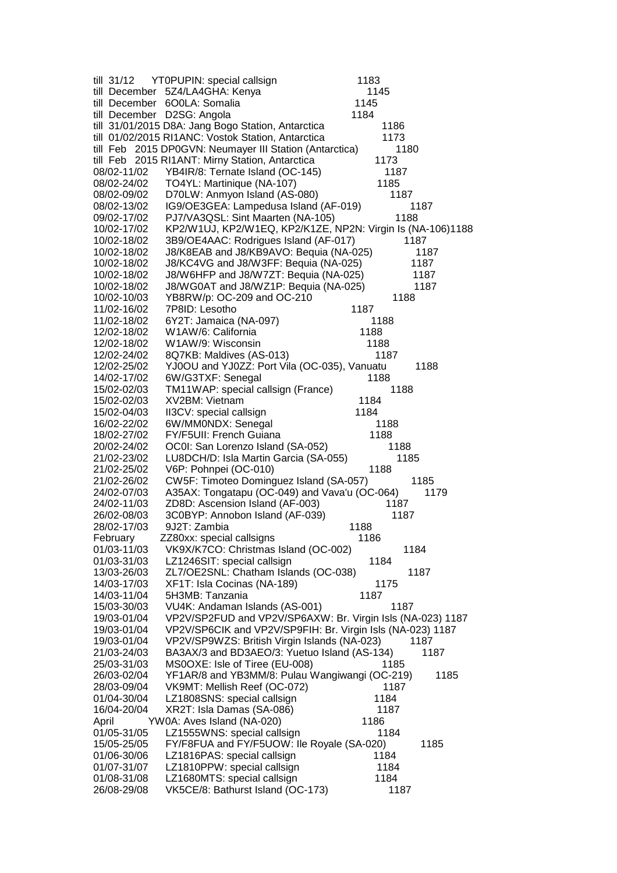| till $31/12$               | YT0PUPIN: special callsign                                       | 1183         |      |
|----------------------------|------------------------------------------------------------------|--------------|------|
|                            | till December 5Z4/LA4GHA: Kenya                                  | 1145         |      |
|                            | till December 6O0LA: Somalia                                     | 1145         |      |
|                            | till December D2SG: Angola                                       | 1184         |      |
|                            | till 31/01/2015 D8A: Jang Bogo Station, Antarctica               | 1186         |      |
|                            | till 01/02/2015 RI1ANC: Vostok Station, Antarctica               | 1173         |      |
|                            | till Feb 2015 DP0GVN: Neumayer III Station (Antarctica)          | 1180         |      |
|                            | till Feb 2015 RI1ANT: Mirny Station, Antarctica                  | 1173         |      |
| 08/02-11/02                | YB4IR/8: Ternate Island (OC-145)                                 | 1187         |      |
| 08/02-24/02                | TO4YL: Martinique (NA-107)                                       | 1185         |      |
| 08/02-09/02                | D70LW: Anmyon Island (AS-080)                                    | 1187         |      |
| 08/02-13/02                | IG9/OE3GEA: Lampedusa Island (AF-019)                            | 1187         |      |
| 09/02-17/02                | PJ7/VA3QSL: Sint Maarten (NA-105)                                | 1188         |      |
| 10/02-17/02                | KP2/W1UJ, KP2/W1EQ, KP2/K1ZE, NP2N: Virgin Is (NA-106)1188       |              |      |
| 10/02-18/02                | 3B9/OE4AAC: Rodrigues Island (AF-017)                            | 1187         |      |
| 10/02-18/02                | J8/K8EAB and J8/KB9AVO: Bequia (NA-025)                          |              | 1187 |
| 10/02-18/02                | J8/KC4VG and J8/W3FF: Bequia (NA-025)                            | 1187         |      |
| 10/02-18/02                | J8/W6HFP and J8/W7ZT: Bequia (NA-025)                            | 1187         |      |
| 10/02-18/02                | J8/WG0AT and J8/WZ1P: Bequia (NA-025)                            |              | 1187 |
| 10/02-10/03                | YB8RW/p: OC-209 and OC-210                                       | 1188         |      |
| 11/02-16/02                | 7P8ID: Lesotho                                                   | 1187         |      |
| 11/02-18/02                | 6Y2T: Jamaica (NA-097)                                           | 1188         |      |
| 12/02-18/02                | W1AW/6: California                                               | 1188         |      |
| 12/02-18/02                | W1AW/9: Wisconsin                                                | 1188         |      |
| 12/02-24/02                | 8Q7KB: Maldives (AS-013)                                         | 1187         |      |
| 12/02-25/02                | YJ0OU and YJ0ZZ: Port Vila (OC-035), Vanuatu                     |              | 1188 |
| 14/02-17/02                | 6W/G3TXF: Senegal                                                | 1188         |      |
| 15/02-02/03                | TM11WAP: special callsign (France)                               | 1188         |      |
| 15/02-02/03                | XV2BM: Vietnam                                                   | 1184         |      |
| 15/02-04/03                | II3CV: special callsign                                          | 1184         |      |
| 16/02-22/02                | 6W/MM0NDX: Senegal                                               | 1188         |      |
| 18/02-27/02                | FY/F5UII: French Guiana                                          | 1188         |      |
|                            |                                                                  |              |      |
| 20/02-24/02                | OC0I: San Lorenzo Island (SA-052)                                | 1188         |      |
| 21/02-23/02                | LU8DCH/D: Isla Martin Garcia (SA-055)                            | 1185         |      |
| 21/02-25/02                | V6P: Pohnpei (OC-010)                                            | 1188         |      |
| 21/02-26/02                | CW5F: Timoteo Dominguez Island (SA-057)                          | 1185         |      |
| 24/02-07/03                | A35AX: Tongatapu (OC-049) and Vava'u (OC-064)                    |              | 1179 |
| 24/02-11/03                | ZD8D: Ascension Island (AF-003)                                  | 1187         |      |
| 26/02-08/03                | 3C0BYP: Annobon Island (AF-039)                                  | 1187         |      |
| 28/02-17/03                | 9J2T: Zambia                                                     | 1188         |      |
| February                   | ZZ80xx: special callsigns                                        | 1186         |      |
| 01/03-11/03                | VK9X/K7CO: Christmas Island (OC-002)                             | 1184         |      |
| 01/03-31/03                | LZ1246SIT: special callsign                                      | 1184         |      |
| 13/03-26/03                | ZL7/OE2SNL: Chatham Islands (OC-038)                             | 1187         |      |
| 14/03-17/03                | XF1T: Isla Cocinas (NA-189)                                      | 1175         |      |
| 14/03-11/04                | 5H3MB: Tanzania                                                  | 1187         |      |
| 15/03-30/03                | VU4K: Andaman Islands (AS-001)                                   | 1187         |      |
| 19/03-01/04                | VP2V/SP2FUD and VP2V/SP6AXW: Br. Virgin Isls (NA-023) 1187       |              |      |
| 19/03-01/04                | VP2V/SP6CIK and VP2V/SP9FIH: Br. Virgin Isls (NA-023) 1187       |              |      |
| 19/03-01/04                | VP2V/SP9WZS: British Virgin Islands (NA-023)                     | 1187         |      |
| 21/03-24/03                | BA3AX/3 and BD3AEO/3: Yuetuo Island (AS-134)                     |              | 1187 |
| 25/03-31/03                | MS0OXE: Isle of Tiree (EU-008)                                   | 1185         |      |
| 26/03-02/04                | YF1AR/8 and YB3MM/8: Pulau Wangiwangi (OC-219)                   |              | 1185 |
| 28/03-09/04                | VK9MT: Mellish Reef (OC-072)                                     | 1187         |      |
| 01/04-30/04                | LZ1808SNS: special callsign                                      | 1184         |      |
| 16/04-20/04                | XR2T: Isla Damas (SA-086)                                        | 1187         |      |
| April                      | YW0A: Aves Island (NA-020)                                       | 1186         |      |
| 01/05-31/05                | LZ1555WNS: special callsign                                      | 1184         |      |
| 15/05-25/05                | FY/F8FUA and FY/F5UOW: Ile Royale (SA-020)                       |              | 1185 |
| 01/06-30/06                | LZ1816PAS: special callsign                                      | 1184         |      |
| 01/07-31/07                | LZ1810PPW: special callsign                                      | 1184         |      |
| 01/08-31/08<br>26/08-29/08 | LZ1680MTS: special callsign<br>VK5CE/8: Bathurst Island (OC-173) | 1184<br>1187 |      |